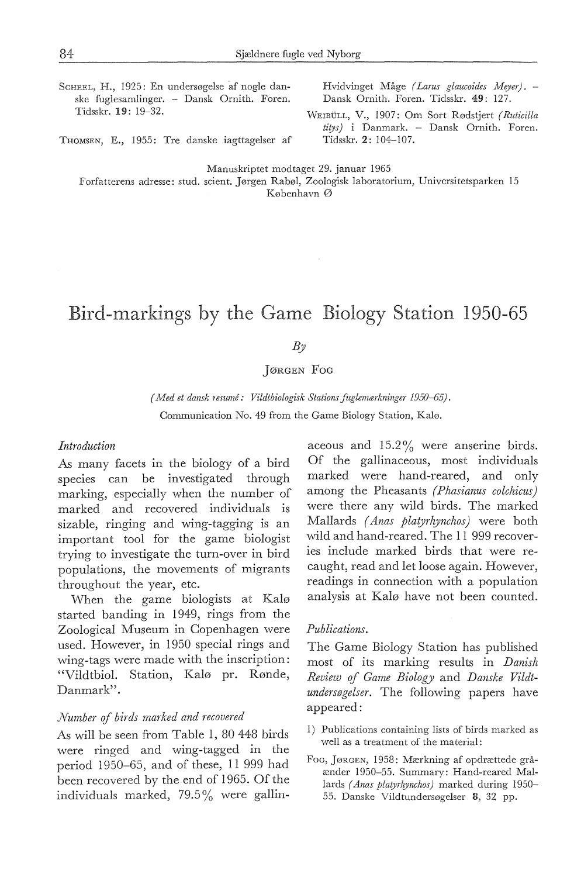ScHEEL, H., 1925: En undersøgelse af nogle danske fuglesamlinger. - Dansk Ornith. Foren. Tidsskr. 19 : 19-32.

Hvidvinget Måge *( Larus glaucoides Meye;).* - Dansk Ornith. Foren. Tidsskr. 49: 127.

WEIBULL, V., 1907: Om Sort Rødstjert *( Ruticilla titys)* i Danmark. - Dansk Ornith. Foren. Tidsskr. 2: 104-107.

THOMSEN, E., 1955: Tre danske iagttagelser af

Manuskriptet modtaget 29. januar 1965 Forfatterens adresse: stud. scient. Jørgen Rabøl, Zoologisk laboratorium, Universitetsparken 15

København Ø

# Bird-markings by the Game Biology Station 1950-65

*By* 

jøRGEN *Foc* 

*(Med et dansk resume: Vildtbiologisk Stations fuglemærkninger 1950-65).*  Communication No. 49 from the Game Biology Station, Kalø.

### *Introduction*

As many facets in the biology of a bird species can be investigated through marking, especially when the number of marked and recovered individuals is sizable, ringing and wing-tagging is an important tool for the game biologist trying to investigate the turn-over in bird populations, the movements of migrants throughout the year, etc.

When the game biologists at Kalø started banding in 1949, rings from the Zoological Museum in Copenhagen were used. However, in 1950 special rings and wing-tags were made with the inscription: "Vildtbiol. Station, Kalø pr. Rønde, Danmark".

## *Number* of *birds marked and recovered*

As will be seen from Table 1, 80 448 birds were ringed and wing-tagged in the period 1950-65, and of these, 11 999 had been recovered by the end of 1965. Of the individuals marked, 79.5 % were gallin-

aceous and  $15.2\%$  were anserine birds. Of the gallinaceous, most individuals marked were hand-reared, and only among the Pheasants *(Phasianus colchicus)*  were there any wild birds. The marked Mallards *(Anas plaryrhynchos)* were both wild and hand-reared. The 11 999 recoveries include marked birds that were recaught, read and let loose again. However, readings in connection with a population analysis at Kalø have not been counted.

## *Publications.*

The Game Biology Station has published most of its marking results in *Danish Review* of *Game Biology* and *Danske Vildtundersøgelser.* The following papers have appeared:

- 1) Publications containing lists of birds marked as well as a treatment of the material:
- Foa, jøRGEN, 1958: Mærkning af opdrættede gråænder 1950-55. Summary: Hand-reared Mallards *(Anas platyrhynchos)* marked during 1950- 55. Danske Vildtundersøgelser 8, 32 pp.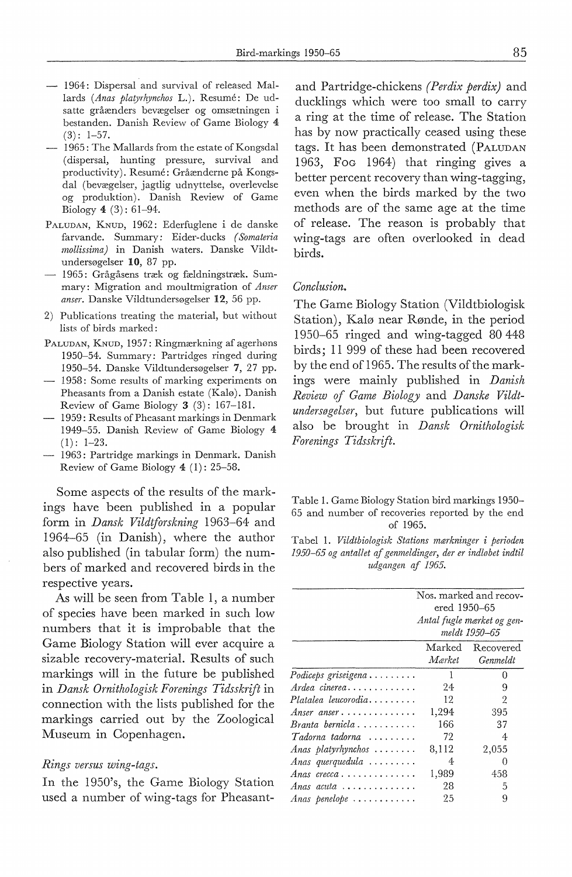- 1964: Dispersal and survival of released Mallards *(Anas platyrhynchos* L.). Resume: De udsatte gråænders bevægelser og omsætningen i bestanden. Danish Review of Game Biology 4  $(3): 1-57.$
- 1965: The Mallards from the estate of Kongsdal ( dispersal, hunting pressure, survival and productivity). Resume: Gråænderne på Kongsdal (bevægelser, jagtlig udnyttelse, overlevelse og produktion). Danish Review of Game Biology 4 (3): 61-94.
- PALUDAN, KNUD, 1962: Ederfuglene i de danske farvande. Summary: Eider-ducks *( Somateria mollissima)* in Danish waters. Danske Vildtundersøgelser 10, 87 pp.
- 1965: Grågåsens træk og fældningstræk. Summary: Migration and moultmigration of *Anser anser.* Danske Vildtundersøgelser 12, 56 pp.
- 2) Publications treating the material, but without lists of birds marked:
- PALUDAN, KNUD, 1957: Ringmærkning af agerhøns 1950-54. Summary: Partridges ringed during 1950-54. Danske Vildtundersøgelser 7, 27 pp.
- $-$  1958: Some results of marking experiments on Pheasants from a Danish estate (Kalø). Danish Review of Game Biology 3 (3): 167-181.
- 1959: Results of Pheasant markings in Denmark 1949-55. Danish Review of Game Biology 4  $(1): 1-23.$
- 1963: Partridge markings in Denmark. Danish Review of Game Biology  $4$  (1): 25-58.

Some aspects of the results of the markings have been published in a popular form in *Dansk Vildtforskning* 1963-64 and 1964-65 (in Danish), where the author also published (in tabular form) the numbers of marked and recovered birds in the respective years.

As will be seen from Table I, a number of species have been marked in such low numbers that it is improbable that the Game Biology Station will ever acquire a sizable recovery-material. Results of such markings will in the future be published in *Dansk Ornithologisk Forenings Tidsskrift* in connection with the lists published for the markings carried out by the Zoological Museum in Copenhagen.

#### *Rings versus wing-tags.*

In the 1950's, the Game Biology Station used a number of wing-tags for Pheasant-

and Partridge-chickens *(Perdix perdix)* and ducklings which were too small to carry a ring at the time of release. The Station has by now practically ceased using these tags. It has been demonstrated (PALUDAN 1963, Foo 1964) that ringing gives a better percent recovery than wing-tagging, even when the birds marked by the two methods are of the same age at the time of release. The reason is probably that wing-tags are often overlooked in dead birds.

#### *Conclusion.*

The Game Biology Station (Vildtbiologisk Station), Kalø near Rønde, in the period 1950-65 ringed and wing-tagged 80 448 birds; 11 999 of these had been recovered by the end of 1965. The results of the markings were mainly published in *Danish Review* ef *Game Biology* and *Danske Vildtundersøgelser,* but future publications will also be brought in *Dansk Ornithologisk Forenings Tidsskrift.* 

| Table 1. Game Biology Station bird markings 1950– |  |                                                 |  |          |  |  |  |  |  |
|---------------------------------------------------|--|-------------------------------------------------|--|----------|--|--|--|--|--|
|                                                   |  | 65 and number of recoveries reported by the end |  |          |  |  |  |  |  |
|                                                   |  |                                                 |  | of 1965. |  |  |  |  |  |

Tabel 1. *Vildtbiologisk Stations mærkninger* i *perioden 1950-65 og antallet af genmeldinger, der er indløbet indtil udgangen af 1965.* 

|                                                 | Nos. marked and recov-<br>ered 1950–65<br>Antal fugle mærket og gen-<br>meldt 1950-65 |                              |  |  |
|-------------------------------------------------|---------------------------------------------------------------------------------------|------------------------------|--|--|
|                                                 |                                                                                       |                              |  |  |
|                                                 | Mærket                                                                                | Marked Recovered<br>Genmeldt |  |  |
| $Podiceps$ griseigena                           | 1                                                                                     | 0                            |  |  |
| Ardea cinerea                                   | 24                                                                                    | 9                            |  |  |
| $Platalea$ leucorodia                           | 12                                                                                    | 2                            |  |  |
| Anser anser                                     | 1,294                                                                                 | 395                          |  |  |
| $Brancha\,\,\,bernida\,\, \ldots \ldots \ldots$ | 166                                                                                   | 37                           |  |  |
| $Tadorna tadorna \ldots \ldots$                 | 72                                                                                    | 4                            |  |  |
| Anas platyrhynchos $\ldots \ldots$              | 8,112                                                                                 | 2,055                        |  |  |
| Anas querquedula $\ldots \ldots$                | 4                                                                                     | 0                            |  |  |
| Anas crecca                                     | 1,989                                                                                 | 458                          |  |  |
| Anas acuta $\ldots \ldots \ldots \ldots$        | 28                                                                                    | 5                            |  |  |
| Anas penelope $\ldots \ldots \ldots$            | 25                                                                                    | 9                            |  |  |